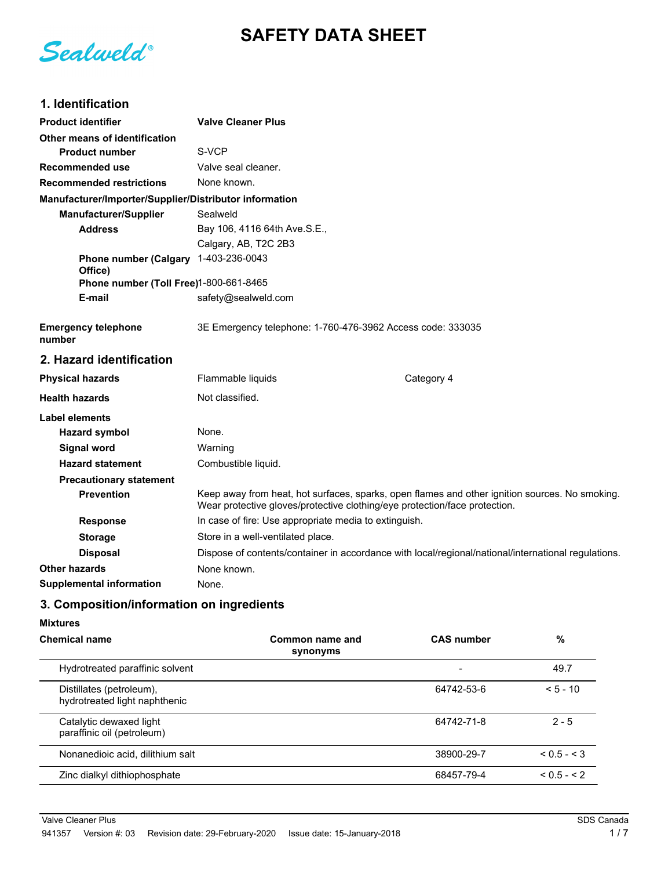# **SAFETY DATA SHEET**

Sealweld®

# **1. Identification**

| <b>Product identifier</b>                              | <b>Valve Cleaner Plus</b>                                                                                                                                                    |            |  |
|--------------------------------------------------------|------------------------------------------------------------------------------------------------------------------------------------------------------------------------------|------------|--|
| Other means of identification                          |                                                                                                                                                                              |            |  |
| <b>Product number</b>                                  | S-VCP                                                                                                                                                                        |            |  |
| Recommended use                                        | Valve seal cleaner.                                                                                                                                                          |            |  |
| <b>Recommended restrictions</b>                        | None known.                                                                                                                                                                  |            |  |
| Manufacturer/Importer/Supplier/Distributor information |                                                                                                                                                                              |            |  |
| <b>Manufacturer/Supplier</b>                           | Sealweld                                                                                                                                                                     |            |  |
| <b>Address</b>                                         | Bay 106, 4116 64th Ave.S.E.,                                                                                                                                                 |            |  |
|                                                        | Calgary, AB, T2C 2B3                                                                                                                                                         |            |  |
| <b>Phone number (Calgary</b>                           | 1-403-236-0043                                                                                                                                                               |            |  |
| Office)<br>Phone number (Toll Free)1-800-661-8465      |                                                                                                                                                                              |            |  |
| E-mail                                                 | safety@sealweld.com                                                                                                                                                          |            |  |
|                                                        |                                                                                                                                                                              |            |  |
| <b>Emergency telephone</b><br>number                   | 3E Emergency telephone: 1-760-476-3962 Access code: 333035                                                                                                                   |            |  |
| 2. Hazard identification                               |                                                                                                                                                                              |            |  |
| <b>Physical hazards</b>                                | Flammable liquids                                                                                                                                                            | Category 4 |  |
| <b>Health hazards</b>                                  | Not classified.                                                                                                                                                              |            |  |
| Label elements                                         |                                                                                                                                                                              |            |  |
| <b>Hazard symbol</b>                                   | None.                                                                                                                                                                        |            |  |
| Signal word                                            | Warning                                                                                                                                                                      |            |  |
| <b>Hazard statement</b>                                | Combustible liquid.                                                                                                                                                          |            |  |
| <b>Precautionary statement</b>                         |                                                                                                                                                                              |            |  |
| <b>Prevention</b>                                      | Keep away from heat, hot surfaces, sparks, open flames and other ignition sources. No smoking.<br>Wear protective gloves/protective clothing/eye protection/face protection. |            |  |
| <b>Response</b>                                        | In case of fire: Use appropriate media to extinguish.                                                                                                                        |            |  |
| <b>Storage</b>                                         | Store in a well-ventilated place.                                                                                                                                            |            |  |
| <b>Disposal</b>                                        | Dispose of contents/container in accordance with local/regional/national/international regulations.                                                                          |            |  |
|                                                        |                                                                                                                                                                              |            |  |
| <b>Other hazards</b>                                   | None known.                                                                                                                                                                  |            |  |

### **3. Composition/information on ingredients**

#### **Mixtures**

| <b>Chemical name</b>                                      | Common name and<br>synonyms | <b>CAS number</b>        | %             |
|-----------------------------------------------------------|-----------------------------|--------------------------|---------------|
| Hydrotreated paraffinic solvent                           |                             | $\overline{\phantom{0}}$ | 49.7          |
| Distillates (petroleum),<br>hydrotreated light naphthenic |                             | 64742-53-6               | $< 5 - 10$    |
| Catalytic dewaxed light<br>paraffinic oil (petroleum)     |                             | 64742-71-8               | $2 - 5$       |
| Nonanedioic acid, dilithium salt                          |                             | 38900-29-7               | $< 0.5 - < 3$ |
| Zinc dialkyl dithiophosphate                              |                             | 68457-79-4               | $< 0.5 - < 2$ |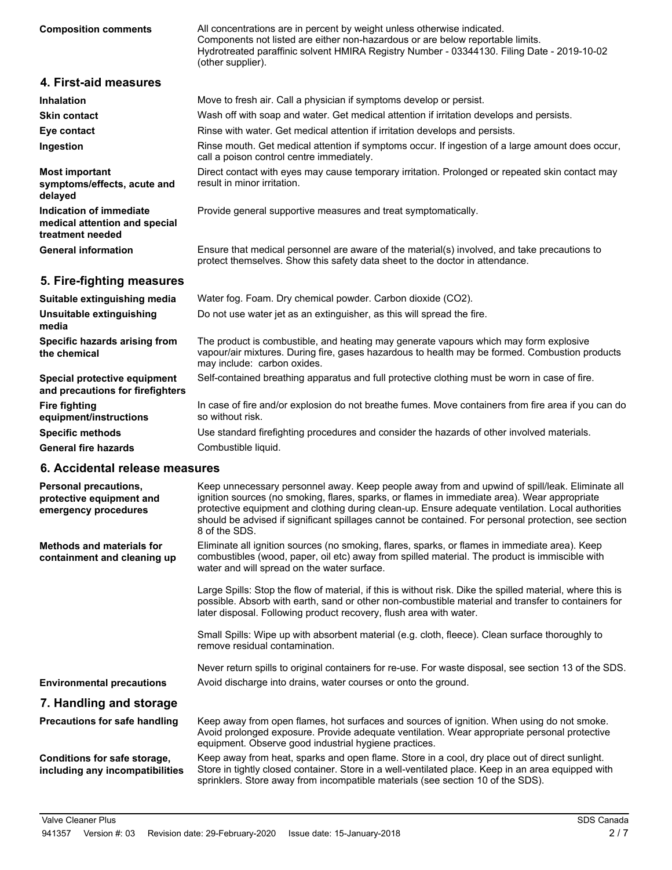All concentrations are in percent by weight unless otherwise indicated. Components not listed are either non-hazardous or are below reportable limits. Hydrotreated paraffinic solvent HMIRA Registry Number - 03344130. Filing Date - 2019-10-02 (other supplier). **Composition comments**

| 4. First-aid measures |  |
|-----------------------|--|
|-----------------------|--|

| <b>Inhalation</b>                                                            | Move to fresh air. Call a physician if symptoms develop or persist.                                                                                                          |  |
|------------------------------------------------------------------------------|------------------------------------------------------------------------------------------------------------------------------------------------------------------------------|--|
| <b>Skin contact</b>                                                          | Wash off with soap and water. Get medical attention if irritation develops and persists.                                                                                     |  |
| Eye contact                                                                  | Rinse with water. Get medical attention if irritation develops and persists.                                                                                                 |  |
| Ingestion                                                                    | Rinse mouth. Get medical attention if symptoms occur. If ingestion of a large amount does occur,<br>call a poison control centre immediately.                                |  |
| <b>Most important</b><br>symptoms/effects, acute and<br>delayed              | Direct contact with eyes may cause temporary irritation. Prolonged or repeated skin contact may<br>result in minor irritation.                                               |  |
| Indication of immediate<br>medical attention and special<br>treatment needed | Provide general supportive measures and treat symptomatically.                                                                                                               |  |
| <b>General information</b>                                                   | Ensure that medical personnel are aware of the material(s) involved, and take precautions to<br>protect themselves. Show this safety data sheet to the doctor in attendance. |  |

### **5. Fire-fighting measures**

| Suitable extinguishing media                                     | Water fog. Foam. Dry chemical powder. Carbon dioxide (CO2).                                                                                                                                                            |  |
|------------------------------------------------------------------|------------------------------------------------------------------------------------------------------------------------------------------------------------------------------------------------------------------------|--|
| Unsuitable extinguishing<br>media                                | Do not use water jet as an extinguisher, as this will spread the fire.                                                                                                                                                 |  |
| Specific hazards arising from<br>the chemical                    | The product is combustible, and heating may generate vapours which may form explosive<br>vapour/air mixtures. During fire, gases hazardous to health may be formed. Combustion products<br>may include: carbon oxides. |  |
| Special protective equipment<br>and precautions for firefighters | Self-contained breathing apparatus and full protective clothing must be worn in case of fire.                                                                                                                          |  |
| <b>Fire fighting</b><br>equipment/instructions                   | In case of fire and/or explosion do not breathe fumes. Move containers from fire area if you can do<br>so without risk.                                                                                                |  |
| <b>Specific methods</b>                                          | Use standard firefighting procedures and consider the hazards of other involved materials.                                                                                                                             |  |
| <b>General fire hazards</b>                                      | Combustible liquid.                                                                                                                                                                                                    |  |

### **6. Accidental release measures**

| ,,,,,,,,,,,,,,,,,,,,,,,,,                                                 |                                                                                                                                                                                                                                                                                                                                                                                                                              |
|---------------------------------------------------------------------------|------------------------------------------------------------------------------------------------------------------------------------------------------------------------------------------------------------------------------------------------------------------------------------------------------------------------------------------------------------------------------------------------------------------------------|
| Personal precautions,<br>protective equipment and<br>emergency procedures | Keep unnecessary personnel away. Keep people away from and upwind of spill/leak. Eliminate all<br>ignition sources (no smoking, flares, sparks, or flames in immediate area). Wear appropriate<br>protective equipment and clothing during clean-up. Ensure adequate ventilation. Local authorities<br>should be advised if significant spillages cannot be contained. For personal protection, see section<br>8 of the SDS. |
| <b>Methods and materials for</b><br>containment and cleaning up           | Eliminate all ignition sources (no smoking, flares, sparks, or flames in immediate area). Keep<br>combustibles (wood, paper, oil etc) away from spilled material. The product is immiscible with<br>water and will spread on the water surface.                                                                                                                                                                              |
|                                                                           | Large Spills: Stop the flow of material, if this is without risk. Dike the spilled material, where this is<br>possible. Absorb with earth, sand or other non-combustible material and transfer to containers for<br>later disposal. Following product recovery, flush area with water.                                                                                                                                       |
|                                                                           | Small Spills: Wipe up with absorbent material (e.g. cloth, fleece). Clean surface thoroughly to<br>remove residual contamination.                                                                                                                                                                                                                                                                                            |
|                                                                           | Never return spills to original containers for re-use. For waste disposal, see section 13 of the SDS.                                                                                                                                                                                                                                                                                                                        |
| <b>Environmental precautions</b>                                          | Avoid discharge into drains, water courses or onto the ground.                                                                                                                                                                                                                                                                                                                                                               |
| 7. Handling and storage                                                   |                                                                                                                                                                                                                                                                                                                                                                                                                              |
| Precautions for safe handling                                             | Keep away from open flames, hot surfaces and sources of ignition. When using do not smoke.<br>Avoid prolonged exposure. Provide adequate ventilation. Wear appropriate personal protective<br>equipment. Observe good industrial hygiene practices.                                                                                                                                                                          |
| Conditions for safe storage,<br>including any incompatibilities           | Keep away from heat, sparks and open flame. Store in a cool, dry place out of direct sunlight.<br>Store in tightly closed container. Store in a well-ventilated place. Keep in an area equipped with<br>sprinklers. Store away from incompatible materials (see section 10 of the SDS).                                                                                                                                      |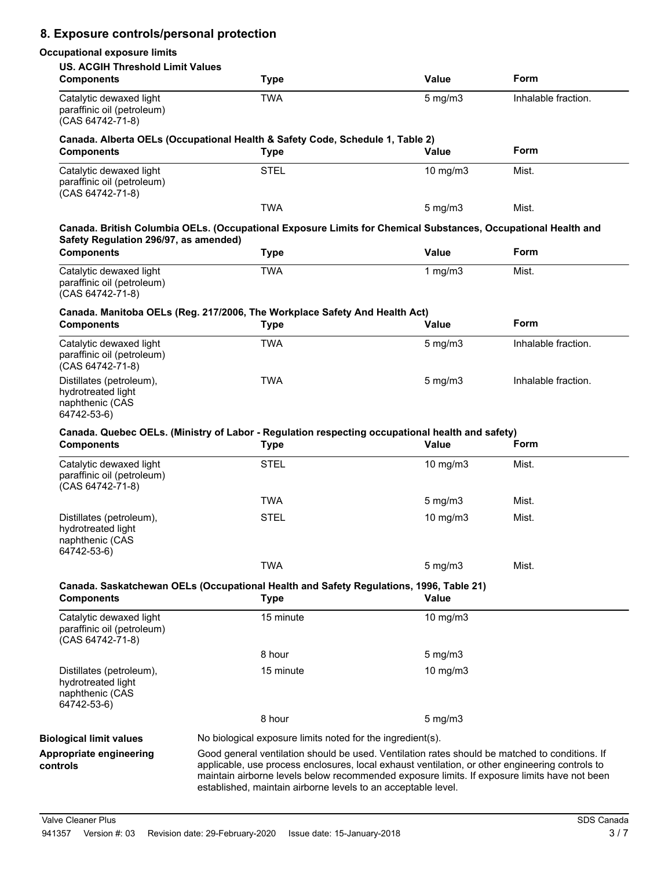### **8. Exposure controls/personal protection**

### **Occupational exposure limits**

| <b>US. ACGIH Threshold Limit Values</b><br><b>Components</b>                     | <b>Type</b>                                                                                                                                                                                                                                                                                                                                                        | <b>Value</b>     | Form                |
|----------------------------------------------------------------------------------|--------------------------------------------------------------------------------------------------------------------------------------------------------------------------------------------------------------------------------------------------------------------------------------------------------------------------------------------------------------------|------------------|---------------------|
| Catalytic dewaxed light<br>paraffinic oil (petroleum)<br>(CAS 64742-71-8)        | <b>TWA</b>                                                                                                                                                                                                                                                                                                                                                         | $5$ mg/m $3$     | Inhalable fraction. |
| <b>Components</b>                                                                | Canada. Alberta OELs (Occupational Health & Safety Code, Schedule 1, Table 2)<br><b>Type</b>                                                                                                                                                                                                                                                                       | Value            | Form                |
| Catalytic dewaxed light<br>paraffinic oil (petroleum)<br>(CAS 64742-71-8)        | <b>STEL</b>                                                                                                                                                                                                                                                                                                                                                        | 10 $mg/m3$       | Mist.               |
|                                                                                  | <b>TWA</b>                                                                                                                                                                                                                                                                                                                                                         | $5 \text{ mg/m}$ | Mist.               |
| Safety Regulation 296/97, as amended)                                            | Canada. British Columbia OELs. (Occupational Exposure Limits for Chemical Substances, Occupational Health and                                                                                                                                                                                                                                                      |                  |                     |
| <b>Components</b>                                                                | <b>Type</b>                                                                                                                                                                                                                                                                                                                                                        | <b>Value</b>     | Form                |
| Catalytic dewaxed light<br>paraffinic oil (petroleum)<br>(CAS 64742-71-8)        | <b>TWA</b>                                                                                                                                                                                                                                                                                                                                                         | 1 mg/m $3$       | Mist.               |
| <b>Components</b>                                                                | Canada. Manitoba OELs (Reg. 217/2006, The Workplace Safety And Health Act)<br><b>Type</b>                                                                                                                                                                                                                                                                          | Value            | Form                |
| Catalytic dewaxed light<br>paraffinic oil (petroleum)<br>$(CAS 64742 - 71 - 8)$  | <b>TWA</b>                                                                                                                                                                                                                                                                                                                                                         | $5 \text{ mg/m}$ | Inhalable fraction. |
| Distillates (petroleum),<br>hydrotreated light<br>naphthenic (CAS<br>64742-53-6) | <b>TWA</b>                                                                                                                                                                                                                                                                                                                                                         | $5 \text{ mg/m}$ | Inhalable fraction. |
| <b>Components</b>                                                                | Canada. Quebec OELs. (Ministry of Labor - Regulation respecting occupational health and safety)<br><b>Type</b>                                                                                                                                                                                                                                                     | Value            | Form                |
| Catalytic dewaxed light<br>paraffinic oil (petroleum)<br>(CAS 64742-71-8)        | <b>STEL</b>                                                                                                                                                                                                                                                                                                                                                        | 10 $mg/m3$       | Mist.               |
|                                                                                  | <b>TWA</b>                                                                                                                                                                                                                                                                                                                                                         | $5$ mg/m $3$     | Mist.               |
| Distillates (petroleum),<br>hydrotreated light<br>naphthenic (CAS<br>64742-53-6) | <b>STEL</b>                                                                                                                                                                                                                                                                                                                                                        | $10$ mg/m $3$    | Mist.               |
|                                                                                  | <b>TWA</b>                                                                                                                                                                                                                                                                                                                                                         | $5$ mg/m $3$     | Mist.               |
| <b>Components</b>                                                                | Canada. Saskatchewan OELs (Occupational Health and Safety Regulations, 1996, Table 21)<br><b>Type</b>                                                                                                                                                                                                                                                              | Value            |                     |
| Catalytic dewaxed light<br>paraffinic oil (petroleum)<br>(CAS 64742-71-8)        | 15 minute                                                                                                                                                                                                                                                                                                                                                          | 10 mg/m3         |                     |
|                                                                                  | 8 hour                                                                                                                                                                                                                                                                                                                                                             | $5 \text{ mg/m}$ |                     |
| Distillates (petroleum),<br>hydrotreated light<br>naphthenic (CAS<br>64742-53-6) | 15 minute                                                                                                                                                                                                                                                                                                                                                          | 10 $mg/m3$       |                     |
|                                                                                  | 8 hour                                                                                                                                                                                                                                                                                                                                                             | $5 \text{ mg/m}$ |                     |
| <b>Biological limit values</b>                                                   | No biological exposure limits noted for the ingredient(s).                                                                                                                                                                                                                                                                                                         |                  |                     |
| Appropriate engineering<br>controls                                              | Good general ventilation should be used. Ventilation rates should be matched to conditions. If<br>applicable, use process enclosures, local exhaust ventilation, or other engineering controls to<br>maintain airborne levels below recommended exposure limits. If exposure limits have not been<br>established, maintain airborne levels to an acceptable level. |                  |                     |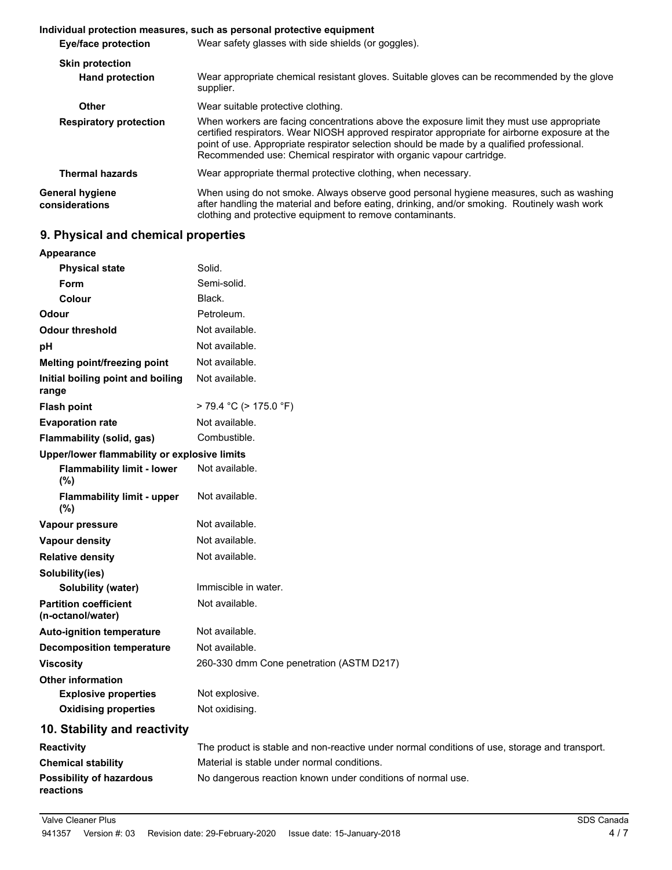|                                          | Individual protection measures, such as personal protective equipment                                                                                                                                                                                                                                                                                            |  |  |
|------------------------------------------|------------------------------------------------------------------------------------------------------------------------------------------------------------------------------------------------------------------------------------------------------------------------------------------------------------------------------------------------------------------|--|--|
| <b>Eye/face protection</b>               | Wear safety glasses with side shields (or goggles).                                                                                                                                                                                                                                                                                                              |  |  |
| <b>Skin protection</b>                   |                                                                                                                                                                                                                                                                                                                                                                  |  |  |
| <b>Hand protection</b>                   | Wear appropriate chemical resistant gloves. Suitable gloves can be recommended by the glove<br>supplier.                                                                                                                                                                                                                                                         |  |  |
| Other                                    | Wear suitable protective clothing.                                                                                                                                                                                                                                                                                                                               |  |  |
| <b>Respiratory protection</b>            | When workers are facing concentrations above the exposure limit they must use appropriate<br>certified respirators. Wear NIOSH approved respirator appropriate for airborne exposure at the<br>point of use. Appropriate respirator selection should be made by a qualified professional.<br>Recommended use: Chemical respirator with organic vapour cartridge. |  |  |
| <b>Thermal hazards</b>                   | Wear appropriate thermal protective clothing, when necessary.                                                                                                                                                                                                                                                                                                    |  |  |
| <b>General hygiene</b><br>considerations | When using do not smoke. Always observe good personal hygiene measures, such as washing<br>after handling the material and before eating, drinking, and/or smoking. Routinely wash work<br>clothing and protective equipment to remove contaminants.                                                                                                             |  |  |

### **9. Physical and chemical properties**

| <b>Appearance</b>                                 |                                                                                               |
|---------------------------------------------------|-----------------------------------------------------------------------------------------------|
| <b>Physical state</b>                             | Solid.                                                                                        |
| Form                                              | Semi-solid.                                                                                   |
| Colour                                            | Black.                                                                                        |
| Odour                                             | Petroleum.                                                                                    |
| <b>Odour threshold</b>                            | Not available.                                                                                |
| pH                                                | Not available.                                                                                |
| Melting point/freezing point                      | Not available.                                                                                |
| Initial boiling point and boiling<br>range        | Not available.                                                                                |
| <b>Flash point</b>                                | $> 79.4$ °C ( $> 175.0$ °F)                                                                   |
| <b>Evaporation rate</b>                           | Not available.                                                                                |
| Flammability (solid, gas)                         | Combustible.                                                                                  |
| Upper/lower flammability or explosive limits      |                                                                                               |
| <b>Flammability limit - lower</b><br>(%)          | Not available.                                                                                |
| <b>Flammability limit - upper</b><br>(%)          | Not available.                                                                                |
| Vapour pressure                                   | Not available.                                                                                |
| <b>Vapour density</b>                             | Not available.                                                                                |
| <b>Relative density</b>                           | Not available.                                                                                |
| Solubility(ies)                                   |                                                                                               |
| Solubility (water)                                | Immiscible in water.                                                                          |
| <b>Partition coefficient</b><br>(n-octanol/water) | Not available.                                                                                |
| <b>Auto-ignition temperature</b>                  | Not available.                                                                                |
| <b>Decomposition temperature</b>                  | Not available.                                                                                |
| <b>Viscosity</b>                                  | 260-330 dmm Cone penetration (ASTM D217)                                                      |
| <b>Other information</b>                          |                                                                                               |
| <b>Explosive properties</b>                       | Not explosive.                                                                                |
| <b>Oxidising properties</b>                       | Not oxidising.                                                                                |
| 10. Stability and reactivity                      |                                                                                               |
| <b>Reactivity</b>                                 | The product is stable and non-reactive under normal conditions of use, storage and transport. |

# **Chemical stability** Material is stable under normal conditions. **Possibility of hazardous** No dangerous reaction known under conditions of normal use. **reactions**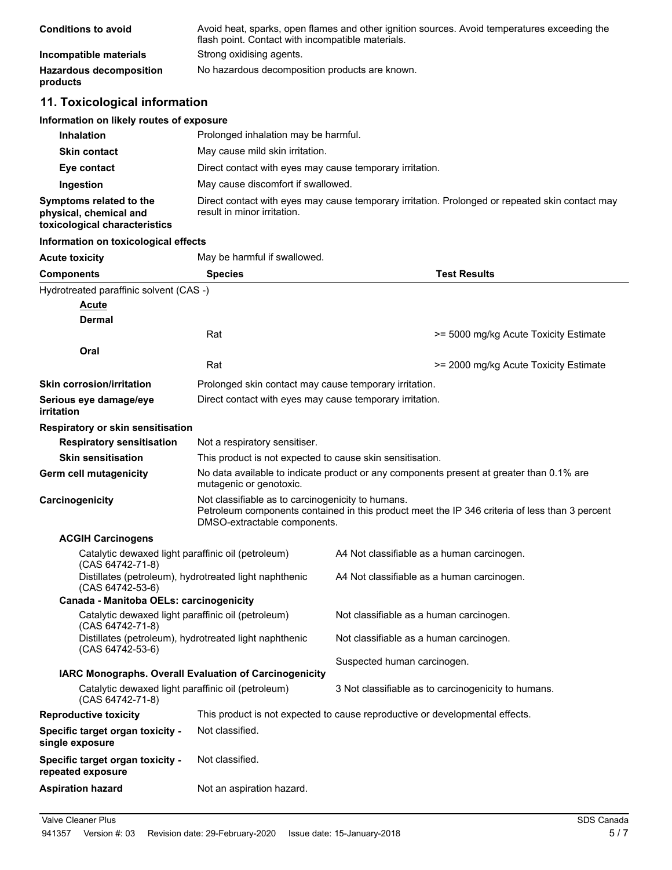| <b>Conditions to avoid</b>                 | Avoid heat, sparks, open flames and other ignition sources. Avoid temperatures exceeding the<br>flash point. Contact with incompatible materials. |
|--------------------------------------------|---------------------------------------------------------------------------------------------------------------------------------------------------|
| Incompatible materials                     | Strong oxidising agents.                                                                                                                          |
| <b>Hazardous decomposition</b><br>products | No hazardous decomposition products are known.                                                                                                    |

# **11. Toxicological information**

| Information on likely routes of exposure                                           |                                                                                                                                |  |  |
|------------------------------------------------------------------------------------|--------------------------------------------------------------------------------------------------------------------------------|--|--|
| <b>Inhalation</b>                                                                  | Prolonged inhalation may be harmful.                                                                                           |  |  |
| <b>Skin contact</b>                                                                | May cause mild skin irritation.                                                                                                |  |  |
| Eye contact                                                                        | Direct contact with eyes may cause temporary irritation.                                                                       |  |  |
| Ingestion                                                                          | May cause discomfort if swallowed.                                                                                             |  |  |
| Symptoms related to the<br>physical, chemical and<br>toxicological characteristics | Direct contact with eyes may cause temporary irritation. Prolonged or repeated skin contact may<br>result in minor irritation. |  |  |

#### **Information on toxicological effects**

| <b>Acute toxicity</b>                                                      | May be harmful if swallowed.                                                                                                                                                        |                                                                              |  |
|----------------------------------------------------------------------------|-------------------------------------------------------------------------------------------------------------------------------------------------------------------------------------|------------------------------------------------------------------------------|--|
| <b>Components</b>                                                          | <b>Species</b>                                                                                                                                                                      | <b>Test Results</b>                                                          |  |
| Hydrotreated paraffinic solvent (CAS -)                                    |                                                                                                                                                                                     |                                                                              |  |
| Acute                                                                      |                                                                                                                                                                                     |                                                                              |  |
| Dermal                                                                     |                                                                                                                                                                                     |                                                                              |  |
|                                                                            | Rat                                                                                                                                                                                 | >= 5000 mg/kg Acute Toxicity Estimate                                        |  |
| Oral                                                                       |                                                                                                                                                                                     |                                                                              |  |
|                                                                            | Rat                                                                                                                                                                                 | >= 2000 mg/kg Acute Toxicity Estimate                                        |  |
| <b>Skin corrosion/irritation</b>                                           | Prolonged skin contact may cause temporary irritation.                                                                                                                              |                                                                              |  |
| Serious eye damage/eye<br>irritation                                       | Direct contact with eyes may cause temporary irritation.                                                                                                                            |                                                                              |  |
| Respiratory or skin sensitisation                                          |                                                                                                                                                                                     |                                                                              |  |
| <b>Respiratory sensitisation</b>                                           | Not a respiratory sensitiser.                                                                                                                                                       |                                                                              |  |
| <b>Skin sensitisation</b>                                                  | This product is not expected to cause skin sensitisation.                                                                                                                           |                                                                              |  |
| Germ cell mutagenicity                                                     | No data available to indicate product or any components present at greater than 0.1% are<br>mutagenic or genotoxic.                                                                 |                                                                              |  |
| Carcinogenicity                                                            | Not classifiable as to carcinogenicity to humans.<br>Petroleum components contained in this product meet the IP 346 criteria of less than 3 percent<br>DMSO-extractable components. |                                                                              |  |
| <b>ACGIH Carcinogens</b>                                                   |                                                                                                                                                                                     |                                                                              |  |
| Catalytic dewaxed light paraffinic oil (petroleum)<br>(CAS 64742-71-8)     |                                                                                                                                                                                     | A4 Not classifiable as a human carcinogen.                                   |  |
| Distillates (petroleum), hydrotreated light naphthenic<br>(CAS 64742-53-6) |                                                                                                                                                                                     | A4 Not classifiable as a human carcinogen.                                   |  |
| Canada - Manitoba OELs: carcinogenicity                                    |                                                                                                                                                                                     |                                                                              |  |
| Catalytic dewaxed light paraffinic oil (petroleum)<br>(CAS 64742-71-8)     |                                                                                                                                                                                     | Not classifiable as a human carcinogen.                                      |  |
| (CAS 64742-53-6)                                                           | Distillates (petroleum), hydrotreated light naphthenic                                                                                                                              | Not classifiable as a human carcinogen.                                      |  |
|                                                                            |                                                                                                                                                                                     | Suspected human carcinogen.                                                  |  |
|                                                                            | IARC Monographs. Overall Evaluation of Carcinogenicity                                                                                                                              |                                                                              |  |
| Catalytic dewaxed light paraffinic oil (petroleum)<br>(CAS 64742-71-8)     |                                                                                                                                                                                     | 3 Not classifiable as to carcinogenicity to humans.                          |  |
| <b>Reproductive toxicity</b>                                               |                                                                                                                                                                                     | This product is not expected to cause reproductive or developmental effects. |  |
| Specific target organ toxicity -<br>single exposure                        | Not classified.                                                                                                                                                                     |                                                                              |  |
| Specific target organ toxicity -<br>repeated exposure                      | Not classified.                                                                                                                                                                     |                                                                              |  |
| <b>Aspiration hazard</b>                                                   | Not an aspiration hazard.                                                                                                                                                           |                                                                              |  |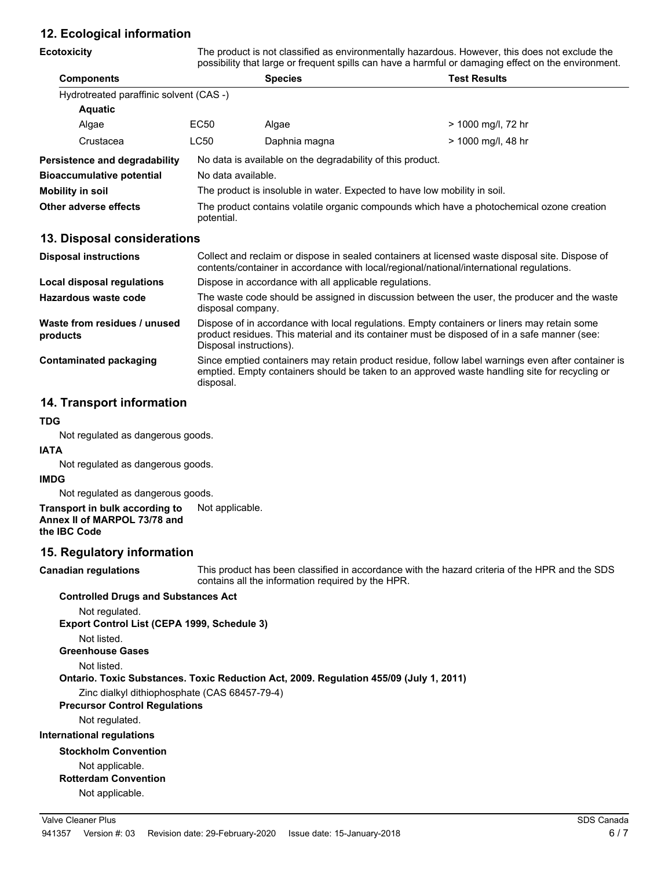### **12. Ecological information**

| <b>Ecotoxicity</b>                       | The product is not classified as environmentally hazardous. However, this does not exclude the<br>possibility that large or frequent spills can have a harmful or damaging effect on the environment.                  |                |                     |  |
|------------------------------------------|------------------------------------------------------------------------------------------------------------------------------------------------------------------------------------------------------------------------|----------------|---------------------|--|
| <b>Components</b>                        |                                                                                                                                                                                                                        | <b>Species</b> | <b>Test Results</b> |  |
| Hydrotreated paraffinic solvent (CAS -)  |                                                                                                                                                                                                                        |                |                     |  |
| <b>Aquatic</b>                           |                                                                                                                                                                                                                        |                |                     |  |
| Algae                                    | EC50                                                                                                                                                                                                                   | Algae          | > 1000 mg/l, 72 hr  |  |
| Crustacea                                | <b>LC50</b>                                                                                                                                                                                                            | Daphnia magna  | > 1000 mg/l, 48 hr  |  |
| Persistence and degradability            | No data is available on the degradability of this product.                                                                                                                                                             |                |                     |  |
| <b>Bioaccumulative potential</b>         | No data available.                                                                                                                                                                                                     |                |                     |  |
| <b>Mobility in soil</b>                  | The product is insoluble in water. Expected to have low mobility in soil.                                                                                                                                              |                |                     |  |
| Other adverse effects                    | The product contains volatile organic compounds which have a photochemical ozone creation<br>potential.                                                                                                                |                |                     |  |
| 13. Disposal considerations              |                                                                                                                                                                                                                        |                |                     |  |
| <b>Disposal instructions</b>             | Collect and reclaim or dispose in sealed containers at licensed waste disposal site. Dispose of<br>contents/container in accordance with local/regional/national/international regulations.                            |                |                     |  |
| Local disposal regulations               | Dispose in accordance with all applicable regulations.                                                                                                                                                                 |                |                     |  |
| Hazardous waste code                     | The waste code should be assigned in discussion between the user, the producer and the waste<br>disposal company.                                                                                                      |                |                     |  |
| Waste from residues / unused<br>products | Dispose of in accordance with local regulations. Empty containers or liners may retain some<br>product residues. This material and its container must be disposed of in a safe manner (see:<br>Disposal instructions). |                |                     |  |
| <b>Contaminated packaging</b>            | Since emptied containers may retain product residue, follow label warnings even after container is<br>emptied. Empty containers should be taken to an approved waste handling site for recycling or<br>disposal.       |                |                     |  |

### **14. Transport information**

#### **TDG**

Not regulated as dangerous goods.

#### **IATA**

Not regulated as dangerous goods.

#### **IMDG**

Not regulated as dangerous goods.

#### **Transport in bulk according to** Not applicable. **Annex II of MARPOL 73/78 and the IBC Code**

#### **15. Regulatory information**

**Canadian regulations**

This product has been classified in accordance with the hazard criteria of the HPR and the SDS contains all the information required by the HPR.

#### **Controlled Drugs and Substances Act**

Not regulated.

**Export Control List (CEPA 1999, Schedule 3)**

Not listed.

**Greenhouse Gases**

Not listed.

**Ontario. Toxic Substances. Toxic Reduction Act, 2009. Regulation 455/09 (July 1, 2011)**

Zinc dialkyl dithiophosphate (CAS 68457-79-4)

**Precursor Control Regulations**

Not regulated.

**International regulations**

**Stockholm Convention**

#### Not applicable.

**Rotterdam Convention**

Not applicable.